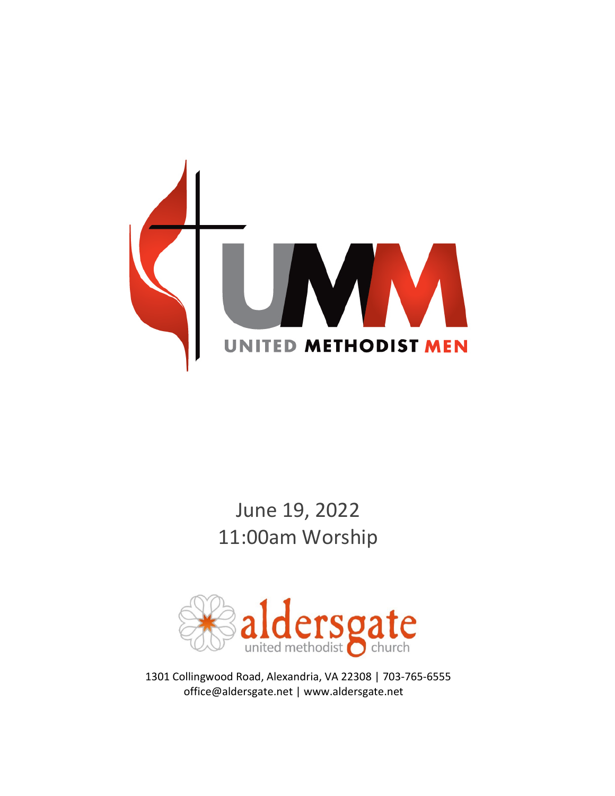

# June 19, 2022 11:00am Worship



1301 Collingwood Road, Alexandria, VA 22308 | 703-765-6555 office@aldersgate.net | www.aldersgate.net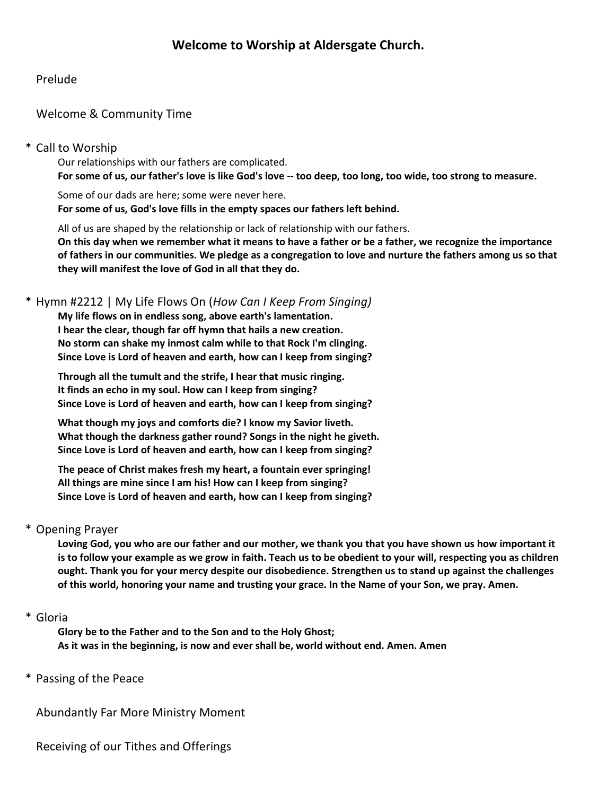## Prelude

# Welcome & Community Time

## \* Call to Worship

Our relationships with our fathers are complicated. **For some of us, our father's love is like God's love -- too deep, too long, too wide, too strong to measure.**

Some of our dads are here; some were never here. **For some of us, God's love fills in the empty spaces our fathers left behind.**

All of us are shaped by the relationship or lack of relationship with our fathers.

**On this day when we remember what it means to have a father or be a father, we recognize the importance of fathers in our communities. We pledge as a congregation to love and nurture the fathers among us so that they will manifest the love of God in all that they do.**

#### \* Hymn #2212 | My Life Flows On (*How Can I Keep From Singing)*

**My life flows on in endless song, above earth's lamentation. I hear the clear, though far off hymn that hails a new creation. No storm can shake my inmost calm while to that Rock I'm clinging. Since Love is Lord of heaven and earth, how can I keep from singing?**

**Through all the tumult and the strife, I hear that music ringing. It finds an echo in my soul. How can I keep from singing? Since Love is Lord of heaven and earth, how can I keep from singing?**

**What though my joys and comforts die? I know my Savior liveth. What though the darkness gather round? Songs in the night he giveth. Since Love is Lord of heaven and earth, how can I keep from singing?**

**The peace of Christ makes fresh my heart, a fountain ever springing! All things are mine since I am his! How can I keep from singing? Since Love is Lord of heaven and earth, how can I keep from singing?**

#### \* Opening Prayer

**Loving God, you who are our father and our mother, we thank you that you have shown us how important it is to follow your example as we grow in faith. Teach us to be obedient to your will, respecting you as children ought. Thank you for your mercy despite our disobedience. Strengthen us to stand up against the challenges of this world, honoring your name and trusting your grace. In the Name of your Son, we pray. Amen.**

#### \* Gloria

**Glory be to the Father and to the Son and to the Holy Ghost; As it was in the beginning, is now and ever shall be, world without end. Amen. Amen**

\* Passing of the Peace

Abundantly Far More Ministry Moment

Receiving of our Tithes and Offerings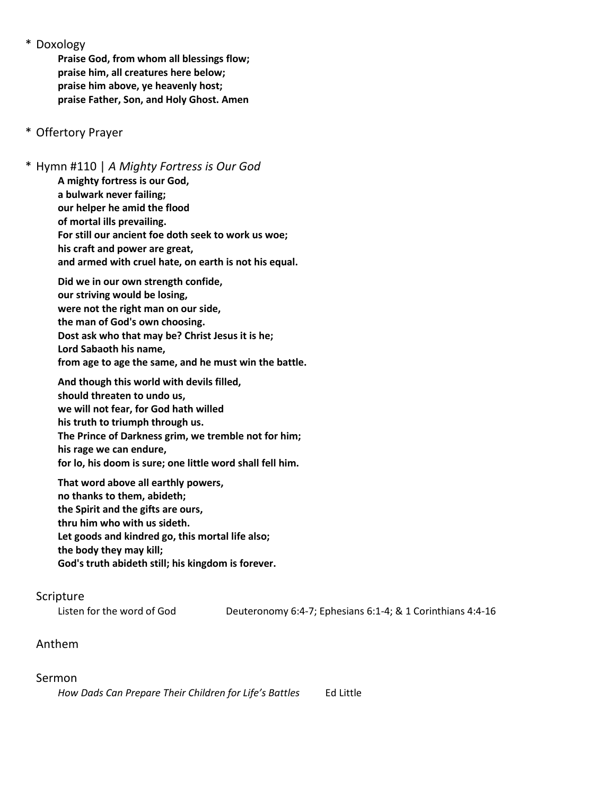\* Doxology

**Praise God, from whom all blessings flow; praise him, all creatures here below; praise him above, ye heavenly host; praise Father, Son, and Holy Ghost. Amen**

## \* Offertory Prayer

\* Hymn #110 | *A Mighty Fortress is Our God* **A mighty fortress is our God, a bulwark never failing; our helper he amid the flood of mortal ills prevailing. For still our ancient foe doth seek to work us woe; his craft and power are great, and armed with cruel hate, on earth is not his equal. Did we in our own strength confide, our striving would be losing, were not the right man on our side, the man of God's own choosing. Dost ask who that may be? Christ Jesus it is he; Lord Sabaoth his name, from age to age the same, and he must win the battle. And though this world with devils filled, should threaten to undo us, we will not fear, for God hath willed his truth to triumph through us.**

**The Prince of Darkness grim, we tremble not for him;**

**his rage we can endure,**

**for lo, his doom is sure; one little word shall fell him.**

**That word above all earthly powers, no thanks to them, abideth; the Spirit and the gifts are ours, thru him who with us sideth. Let goods and kindred go, this mortal life also; the body they may kill; God's truth abideth still; his kingdom is forever.**

#### Scripture

Listen for the word of God Deuteronomy 6:4-7; Ephesians 6:1-4; & 1 Corinthians 4:4-16

#### Anthem

#### Sermon

*How Dads Can Prepare Their Children for Life's Battles* Ed Little